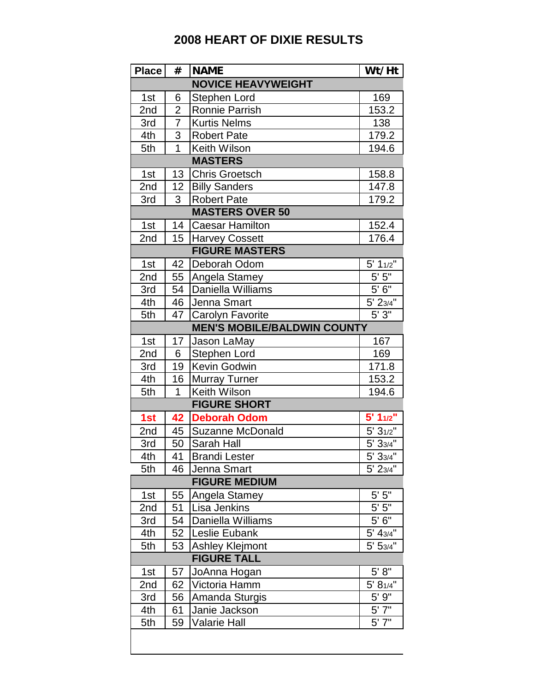## **2008 HEART OF DIXIE RESULTS**

| <b>Place</b>              | #                   | <b>NAME</b>                        | Wt/Ht              |  |  |  |
|---------------------------|---------------------|------------------------------------|--------------------|--|--|--|
| <b>NOVICE HEAVYWEIGHT</b> |                     |                                    |                    |  |  |  |
| 1st                       | 6                   | Stephen Lord                       | 169                |  |  |  |
| 2nd                       | $\overline{2}$      | Ronnie Parrish                     | 153.2              |  |  |  |
| 3rd                       | 7                   | <b>Kurtis Nelms</b>                | 138                |  |  |  |
| 4th                       | 3                   | <b>Robert Pate</b>                 | 179.2              |  |  |  |
| 5th                       | $\overline{1}$      | <b>Keith Wilson</b>                | 194.6              |  |  |  |
|                           | <b>MASTERS</b>      |                                    |                    |  |  |  |
| 1st                       | 13                  | Chris Groetsch                     | 158.8              |  |  |  |
| 2nd                       | 12                  | <b>Billy Sanders</b>               | 147.8              |  |  |  |
| 3rd                       | 3                   | <b>Robert Pate</b>                 | 179.2              |  |  |  |
|                           |                     | <b>MASTERS OVER 50</b>             |                    |  |  |  |
| 1st                       | 14                  | <b>Caesar Hamilton</b>             | 152.4              |  |  |  |
| 2nd                       | 15                  | <b>Harvey Cossett</b>              | 176.4              |  |  |  |
|                           |                     | <b>FIGURE MASTERS</b>              |                    |  |  |  |
| 1st                       | 42                  | Deborah Odom                       | 5' 11/2"           |  |  |  |
| 2nd                       | 55                  | Angela Stamey                      | $\overline{5'5''}$ |  |  |  |
| 3rd                       | 54                  | Daniella Williams                  | 5'6''              |  |  |  |
| 4th                       | 46                  | Jenna Smart                        | $5'$ 23/4"         |  |  |  |
| 5th                       | 47                  | Carolyn Favorite                   | 5'3''              |  |  |  |
|                           |                     | <b>MEN'S MOBILE/BALDWIN COUNTY</b> |                    |  |  |  |
| 1st                       | 17                  | Jason LaMay                        | 167                |  |  |  |
| 2nd                       | 6                   | Stephen Lord                       | 169                |  |  |  |
| 3rd                       | 19                  | Kevin Godwin                       | 171.8              |  |  |  |
| 4th                       | 16                  | <b>Murray Turner</b>               | 153.2              |  |  |  |
| 5th                       | $\overline{1}$      | <b>Keith Wilson</b>                | 194.6              |  |  |  |
|                           | <b>FIGURE SHORT</b> |                                    |                    |  |  |  |
| 1st                       | 42                  | <b>Deborah Odom</b>                | $5' 1_{1/2}$       |  |  |  |
| 2nd                       | 45                  | <b>Suzanne McDonald</b>            | 5' 31/2"           |  |  |  |
| 3rd                       | 50                  | Sarah Hall                         | 5' 33/4"           |  |  |  |
| 4th                       | 41                  | <b>Brandi Lester</b>               | 5'33/4"            |  |  |  |
| 5th                       | 46                  | Jenna Smart                        | 5' 23/4"           |  |  |  |
|                           |                     | <b>FIGURE MEDIUM</b>               |                    |  |  |  |
| 1st                       | 55                  | Angela Stamey                      | $5'$ $5"$          |  |  |  |
| 2nd                       | 51                  | Lisa Jenkins                       | $5'$ $5"$          |  |  |  |
| 3rd                       | 54                  | Daniella Williams                  | 5'6''              |  |  |  |
| 4th                       | 52                  | Leslie Eubank                      | 5' 43/4"           |  |  |  |
| 5th                       | 53                  | <b>Ashley Klejmont</b>             | 5' 53/4"           |  |  |  |
| <b>FIGURE TALL</b>        |                     |                                    |                    |  |  |  |
| 1st                       | 57                  | JoAnna Hogan                       | $5' 8"$            |  |  |  |
| 2nd                       | 62                  | Victoria Hamm                      | 5' 81/4"           |  |  |  |
| 3rd                       | 56                  | Amanda Sturgis                     | $5'$ 9"            |  |  |  |
| 4th                       | 61                  | Janie Jackson                      | $5'$ 7"            |  |  |  |
| 5th                       | 59                  | <b>Valarie Hall</b>                | 5'7''              |  |  |  |
|                           |                     |                                    |                    |  |  |  |